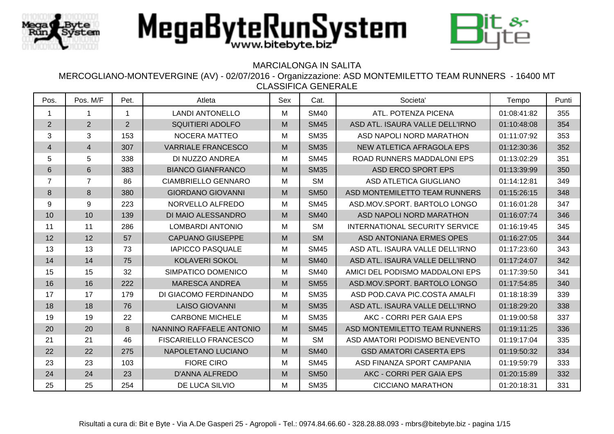



## MARCIALONGA IN SALITA

| Pos.                     | Pos. M/F       | Pet.           | Atleta                       | Sex | Cat.        | Societa'                              | Tempo       | Punti |
|--------------------------|----------------|----------------|------------------------------|-----|-------------|---------------------------------------|-------------|-------|
| $\mathbf 1$              | 1              | $\mathbf{1}$   | <b>LANDI ANTONELLO</b>       | M   | <b>SM40</b> | ATL. POTENZA PICENA                   | 01:08:41:82 | 355   |
| $\overline{2}$           | $\overline{2}$ | $\overline{2}$ | <b>SQUITIERI ADOLFO</b>      | M   | <b>SM45</b> | ASD ATL. ISAURA VALLE DELL'IRNO       | 01:10:48:08 | 354   |
| 3                        | 3              | 153            | NOCERA MATTEO                | M   | <b>SM35</b> | ASD NAPOLI NORD MARATHON              | 01:11:07:92 | 353   |
| $\overline{\mathcal{A}}$ | 4              | 307            | <b>VARRIALE FRANCESCO</b>    | M   | <b>SM35</b> | NEW ATLETICA AFRAGOLA EPS             | 01:12:30:36 | 352   |
| 5                        | 5              | 338            | DI NUZZO ANDREA              | M   | <b>SM45</b> | ROAD RUNNERS MADDALONI EPS            | 01:13:02:29 | 351   |
| $\,6\,$                  | $6\phantom{a}$ | 383            | <b>BIANCO GIANFRANCO</b>     | M   | <b>SM35</b> | ASD ERCO SPORT EPS                    | 01:13:39:99 | 350   |
| $\overline{7}$           | $\overline{7}$ | 86             | <b>CIAMBRIELLO GENNARO</b>   | M   | <b>SM</b>   | ASD ATLETICA GIUGLIANO                | 01:14:12:81 | 349   |
| $\,8\,$                  | 8              | 380            | <b>GIORDANO GIOVANNI</b>     | M   | <b>SM50</b> | ASD MONTEMILETTO TEAM RUNNERS         | 01:15:26:15 | 348   |
| 9                        | 9              | 223            | NORVELLO ALFREDO             | M   | <b>SM45</b> | ASD.MOV.SPORT. BARTOLO LONGO          | 01:16:01:28 | 347   |
| 10                       | 10             | 139            | DI MAIO ALESSANDRO           | M   | <b>SM40</b> | ASD NAPOLI NORD MARATHON              | 01:16:07:74 | 346   |
| 11                       | 11             | 286            | <b>LOMBARDI ANTONIO</b>      | M   | <b>SM</b>   | <b>INTERNATIONAL SECURITY SERVICE</b> | 01:16:19:45 | 345   |
| 12                       | 12             | 57             | <b>CAPUANO GIUSEPPE</b>      | M   | <b>SM</b>   | ASD ANTONIANA ERMES OPES              | 01:16:27:05 | 344   |
| 13                       | 13             | 73             | <b>IAPICCO PASQUALE</b>      | M   | <b>SM45</b> | ASD ATL. ISAURA VALLE DELL'IRNO       | 01:17:23:60 | 343   |
| 14                       | 14             | 75             | KOLAVERI SOKOL               | M   | <b>SM40</b> | ASD ATL. ISAURA VALLE DELL'IRNO       | 01:17:24:07 | 342   |
| 15                       | 15             | 32             | SIMPATICO DOMENICO           | M   | <b>SM40</b> | AMICI DEL PODISMO MADDALONI EPS       | 01:17:39:50 | 341   |
| 16                       | 16             | 222            | <b>MARESCA ANDREA</b>        | M   | <b>SM55</b> | ASD.MOV.SPORT. BARTOLO LONGO          | 01:17:54:85 | 340   |
| 17                       | 17             | 179            | DI GIACOMO FERDINANDO        | M   | <b>SM35</b> | ASD POD.CAVA PIC.COSTA AMALFI         | 01:18:18:39 | 339   |
| 18                       | 18             | 76             | <b>LAISO GIOVANNI</b>        | M   | <b>SM35</b> | ASD ATL. ISAURA VALLE DELL'IRNO       | 01:18:29:20 | 338   |
| 19                       | 19             | 22             | <b>CARBONE MICHELE</b>       | M   | <b>SM35</b> | AKC - CORRI PER GAIA EPS              | 01:19:00:58 | 337   |
| 20                       | 20             | 8              | NANNINO RAFFAELE ANTONIO     | M   | <b>SM45</b> | ASD MONTEMILETTO TEAM RUNNERS         | 01:19:11:25 | 336   |
| 21                       | 21             | 46             | <b>FISCARIELLO FRANCESCO</b> | M   | <b>SM</b>   | ASD AMATORI PODISMO BENEVENTO         | 01:19:17:04 | 335   |
| 22                       | 22             | 275            | NAPOLETANO LUCIANO           | M   | <b>SM40</b> | <b>GSD AMATORI CASERTA EPS</b>        | 01:19:50:32 | 334   |
| 23                       | 23             | 103            | <b>FIORE CIRO</b>            | M   | <b>SM45</b> | ASD FINANZA SPORT CAMPANIA            | 01:19:59:79 | 333   |
| 24                       | 24             | 23             | <b>D'ANNA ALFREDO</b>        | M   | <b>SM50</b> | AKC - CORRI PER GAIA EPS              | 01:20:15:89 | 332   |
| 25                       | 25             | 254            | DE LUCA SILVIO               | M   | <b>SM35</b> | <b>CICCIANO MARATHON</b>              | 01:20:18:31 | 331   |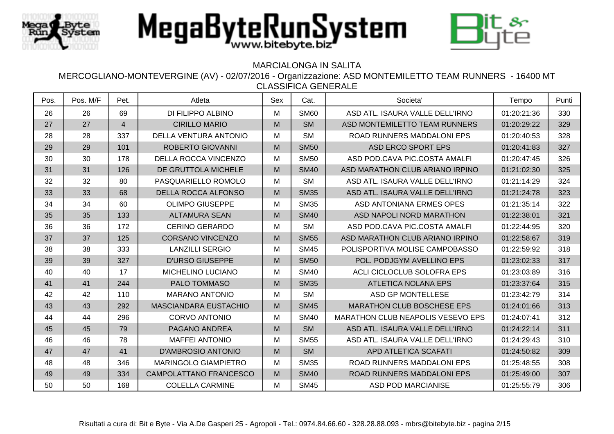



## MARCIALONGA IN SALITA

| Pos. | Pos. M/F | Pet.           | Atleta                       | Sex | Cat.        | Societa'                                 | Tempo       | Punti |
|------|----------|----------------|------------------------------|-----|-------------|------------------------------------------|-------------|-------|
| 26   | 26       | 69             | DI FILIPPO ALBINO            | M   | <b>SM60</b> | ASD ATL. ISAURA VALLE DELL'IRNO          | 01:20:21:36 | 330   |
| 27   | 27       | $\overline{4}$ | <b>CIRILLO MARIO</b>         | M   | <b>SM</b>   | ASD MONTEMILETTO TEAM RUNNERS            | 01:20:29:22 | 329   |
| 28   | 28       | 337            | <b>DELLA VENTURA ANTONIO</b> | M   | <b>SM</b>   | ROAD RUNNERS MADDALONI EPS               | 01:20:40:53 | 328   |
| 29   | 29       | 101            | <b>ROBERTO GIOVANNI</b>      | M   | <b>SM50</b> | <b>ASD ERCO SPORT EPS</b>                | 01:20:41:83 | 327   |
| 30   | 30       | 178            | DELLA ROCCA VINCENZO         | M   | <b>SM50</b> | ASD POD.CAVA PIC.COSTA AMALFI            | 01:20:47:45 | 326   |
| 31   | 31       | 126            | DE GRUTTOLA MICHELE          | M   | <b>SM40</b> | ASD MARATHON CLUB ARIANO IRPINO          | 01:21:02:30 | 325   |
| 32   | 32       | 80             | PASQUARIELLO ROMOLO          | M   | <b>SM</b>   | ASD ATL. ISAURA VALLE DELL'IRNO          | 01:21:14:29 | 324   |
| 33   | 33       | 68             | <b>DELLA ROCCA ALFONSO</b>   | M   | <b>SM35</b> | ASD ATL. ISAURA VALLE DELL'IRNO          | 01:21:24:78 | 323   |
| 34   | 34       | 60             | <b>OLIMPO GIUSEPPE</b>       | M   | <b>SM35</b> | <b>ASD ANTONIANA ERMES OPES</b>          | 01:21:35:14 | 322   |
| 35   | 35       | 133            | <b>ALTAMURA SEAN</b>         | M   | <b>SM40</b> | ASD NAPOLI NORD MARATHON                 | 01:22:38:01 | 321   |
| 36   | 36       | 172            | <b>CERINO GERARDO</b>        | М   | <b>SM</b>   | ASD POD.CAVA PIC.COSTA AMALFI            | 01:22:44:95 | 320   |
| 37   | 37       | 125            | <b>CORSANO VINCENZO</b>      | M   | <b>SM55</b> | ASD MARATHON CLUB ARIANO IRPINO          | 01:22:58:67 | 319   |
| 38   | 38       | 333            | <b>LANZILLI SERGIO</b>       | M   | <b>SM45</b> | POLISPORTIVA MOLISE CAMPOBASSO           | 01:22:59:92 | 318   |
| 39   | 39       | 327            | <b>D'URSO GIUSEPPE</b>       | M   | <b>SM50</b> | POL. PODJGYM AVELLINO EPS                | 01:23:02:33 | 317   |
| 40   | 40       | 17             | MICHELINO LUCIANO            | M   | <b>SM40</b> | ACLI CICLOCLUB SOLOFRA EPS               | 01:23:03:89 | 316   |
| 41   | 41       | 244            | PALO TOMMASO                 | M   | <b>SM35</b> | <b>ATLETICA NOLANA EPS</b>               | 01:23:37:64 | 315   |
| 42   | 42       | 110            | <b>MARANO ANTONIO</b>        | M   | <b>SM</b>   | ASD GP MONTELLESE                        | 01:23:42:79 | 314   |
| 43   | 43       | 292            | <b>MASCIANDARA EUSTACHIO</b> | M   | <b>SM45</b> | <b>MARATHON CLUB BOSCHESE EPS</b>        | 01:24:01:66 | 313   |
| 44   | 44       | 296            | <b>CORVO ANTONIO</b>         | M   | <b>SM40</b> | <b>MARATHON CLUB NEAPOLIS VESEVO EPS</b> | 01:24:07:41 | 312   |
| 45   | 45       | 79             | PAGANO ANDREA                | M   | <b>SM</b>   | ASD ATL. ISAURA VALLE DELL'IRNO          | 01:24:22:14 | 311   |
| 46   | 46       | 78             | <b>MAFFEI ANTONIO</b>        | M   | <b>SM55</b> | ASD ATL. ISAURA VALLE DELL'IRNO          | 01:24:29:43 | 310   |
| 47   | 47       | 41             | <b>D'AMBROSIO ANTONIO</b>    | M   | <b>SM</b>   | APD ATLETICA SCAFATI                     | 01:24:50:82 | 309   |
| 48   | 48       | 346            | <b>MARINGOLO GIAMPIETRO</b>  | M   | <b>SM35</b> | ROAD RUNNERS MADDALONI EPS               | 01:25:48:55 | 308   |
| 49   | 49       | 334            | CAMPOLATTANO FRANCESCO       | M   | <b>SM40</b> | ROAD RUNNERS MADDALONI EPS               | 01:25:49:00 | 307   |
| 50   | 50       | 168            | <b>COLELLA CARMINE</b>       | M   | <b>SM45</b> | <b>ASD POD MARCIANISE</b>                | 01:25:55:79 | 306   |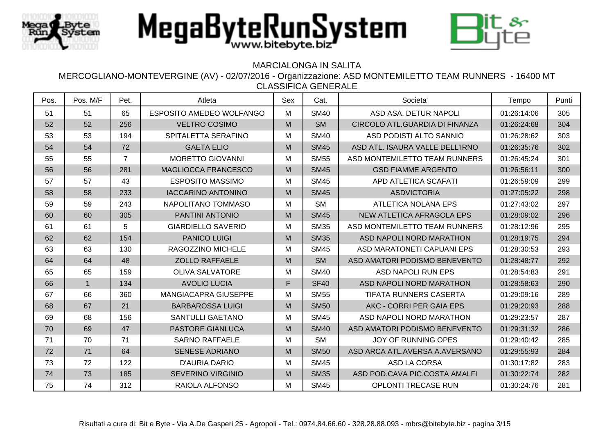



## MARCIALONGA IN SALITA

| Pos. | Pos. M/F    | Pet.           | Atleta                      | Sex | Cat.        | Societa'                        | Tempo       | Punti |
|------|-------------|----------------|-----------------------------|-----|-------------|---------------------------------|-------------|-------|
| 51   | 51          | 65             | ESPOSITO AMEDEO WOLFANGO    | M   | <b>SM40</b> | ASD ASA, DETUR NAPOLI           | 01:26:14:06 | 305   |
| 52   | 52          | 256            | <b>VELTRO COSIMO</b>        | M   | <b>SM</b>   | CIRCOLO ATL.GUARDIA DI FINANZA  | 01:26:24:68 | 304   |
| 53   | 53          | 194            | SPITALETTA SERAFINO         | M   | <b>SM40</b> | ASD PODISTI ALTO SANNIO         | 01:26:28:62 | 303   |
| 54   | 54          | 72             | <b>GAETA ELIO</b>           | M   | <b>SM45</b> | ASD ATL. ISAURA VALLE DELL'IRNO | 01:26:35:76 | 302   |
| 55   | 55          | $\overline{7}$ | <b>MORETTO GIOVANNI</b>     | M   | <b>SM55</b> | ASD MONTEMILETTO TEAM RUNNERS   | 01:26:45:24 | 301   |
| 56   | 56          | 281            | MAGLIOCCA FRANCESCO         | M   | <b>SM45</b> | <b>GSD FIAMME ARGENTO</b>       | 01:26:56:11 | 300   |
| 57   | 57          | 43             | <b>ESPOSITO MASSIMO</b>     | M   | <b>SM45</b> | APD ATLETICA SCAFATI            | 01:26:59:09 | 299   |
| 58   | 58          | 233            | <b>IACCARINO ANTONINO</b>   | M   | <b>SM45</b> | <b>ASDVICTORIA</b>              | 01:27:05:22 | 298   |
| 59   | 59          | 243            | NAPOLITANO TOMMASO          | M   | <b>SM</b>   | <b>ATLETICA NOLANA EPS</b>      | 01:27:43:02 | 297   |
| 60   | 60          | 305            | PANTINI ANTONIO             | M   | <b>SM45</b> | NEW ATLETICA AFRAGOLA EPS       | 01:28:09:02 | 296   |
| 61   | 61          | 5              | <b>GIARDIELLO SAVERIO</b>   | M   | <b>SM35</b> | ASD MONTEMILETTO TEAM RUNNERS   | 01:28:12:96 | 295   |
| 62   | 62          | 154            | <b>PANICO LUIGI</b>         | M   | <b>SM35</b> | ASD NAPOLI NORD MARATHON        | 01:28:19:75 | 294   |
| 63   | 63          | 130            | <b>RAGOZZINO MICHELE</b>    | M   | <b>SM45</b> | ASD MARATONETI CAPUANI EPS      | 01:28:30:53 | 293   |
| 64   | 64          | 48             | <b>ZOLLO RAFFAELE</b>       | M   | <b>SM</b>   | ASD AMATORI PODISMO BENEVENTO   | 01:28:48:77 | 292   |
| 65   | 65          | 159            | <b>OLIVA SALVATORE</b>      | M   | <b>SM40</b> | <b>ASD NAPOLI RUN EPS</b>       | 01:28:54:83 | 291   |
| 66   | $\mathbf 1$ | 134            | <b>AVOLIO LUCIA</b>         | F   | <b>SF40</b> | ASD NAPOLI NORD MARATHON        | 01:28:58:63 | 290   |
| 67   | 66          | 360            | <b>MANGIACAPRA GIUSEPPE</b> | M   | <b>SM55</b> | <b>TIFATA RUNNERS CASERTA</b>   | 01:29:09:16 | 289   |
| 68   | 67          | 21             | <b>BARBAROSSA LUIGI</b>     | M   | <b>SM50</b> | AKC - CORRI PER GAIA EPS        | 01:29:20:93 | 288   |
| 69   | 68          | 156            | <b>SANTULLI GAETANO</b>     | M   | <b>SM45</b> | ASD NAPOLI NORD MARATHON        | 01:29:23:57 | 287   |
| 70   | 69          | 47             | <b>PASTORE GIANLUCA</b>     | M   | <b>SM40</b> | ASD AMATORI PODISMO BENEVENTO   | 01:29:31:32 | 286   |
| 71   | 70          | 71             | <b>SARNO RAFFAELE</b>       | M   | <b>SM</b>   | <b>JOY OF RUNNING OPES</b>      | 01:29:40:42 | 285   |
| 72   | 71          | 64             | <b>SENESE ADRIANO</b>       | M   | <b>SM50</b> | ASD ARCA ATL.AVERSA A.AVERSANO  | 01:29:55:93 | 284   |
| 73   | 72          | 122            | <b>D'AURIA DARIO</b>        | M   | <b>SM45</b> | ASD LA CORSA                    | 01:30:17:82 | 283   |
| 74   | 73          | 185            | <b>SEVERINO VIRGINIO</b>    | M   | <b>SM35</b> | ASD POD.CAVA PIC.COSTA AMALFI   | 01:30:22:74 | 282   |
| 75   | 74          | 312            | <b>RAIOLA ALFONSO</b>       | M   | <b>SM45</b> | <b>OPLONTI TRECASE RUN</b>      | 01:30:24:76 | 281   |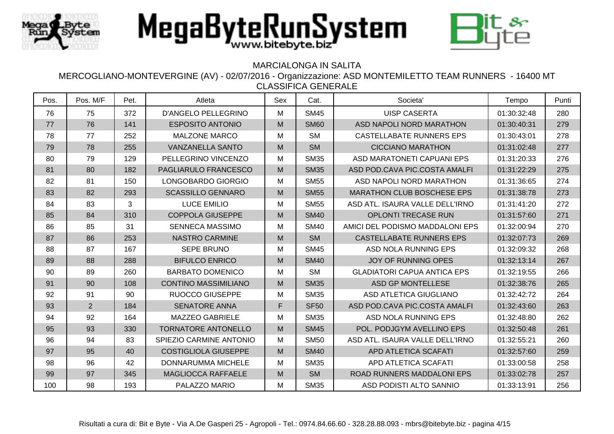



### MARCIALONGA IN SALITA

| Pos. | Pos. M/F       | Pet. | Atleta                      | Sex | Cat.        | Societa'                           | Tempo       | Punti |
|------|----------------|------|-----------------------------|-----|-------------|------------------------------------|-------------|-------|
| 76   | 75             | 372  | <b>D'ANGELO PELLEGRINO</b>  | M   | <b>SM45</b> | <b>UISP CASERTA</b>                | 01:30:32:48 | 280   |
| 77   | 76             | 141  | <b>ESPOSITO ANTONIO</b>     | M   | <b>SM60</b> | ASD NAPOLI NORD MARATHON           | 01:30:40:31 | 279   |
| 78   | 77             | 252  | <b>MALZONE MARCO</b>        | M   | <b>SM</b>   | CASTELLABATE RUNNERS EPS           | 01:30:43:01 | 278   |
| 79   | 78             | 255  | <b>VANZANELLA SANTO</b>     | M   | <b>SM</b>   | <b>CICCIANO MARATHON</b>           | 01:31:02:48 | 277   |
| 80   | 79             | 129  | PELLEGRINO VINCENZO         | M   | <b>SM35</b> | ASD MARATONETI CAPUANI EPS         | 01:31:20:33 | 276   |
| 81   | 80             | 182  | PAGLIARULO FRANCESCO        | M   | <b>SM35</b> | ASD POD.CAVA PIC.COSTA AMALFI      | 01:31:22:29 | 275   |
| 82   | 81             | 150  | LONGOBARDO GIORGIO          | M   | <b>SM55</b> | ASD NAPOLI NORD MARATHON           | 01:31:36:65 | 274   |
| 83   | 82             | 293  | <b>SCASSILLO GENNARO</b>    | M   | <b>SM55</b> | <b>MARATHON CLUB BOSCHESE EPS</b>  | 01:31:38:78 | 273   |
| 84   | 83             | 3    | <b>LUCE EMILIO</b>          | M   | <b>SM55</b> | ASD ATL. ISAURA VALLE DELL'IRNO    | 01:31:41:20 | 272   |
| 85   | 84             | 310  | <b>COPPOLA GIUSEPPE</b>     | M   | <b>SM40</b> | <b>OPLONTI TRECASE RUN</b>         | 01:31:57:60 | 271   |
| 86   | 85             | 31   | <b>SENNECA MASSIMO</b>      | М   | <b>SM40</b> | AMICI DEL PODISMO MADDALONI EPS    | 01:32:00:94 | 270   |
| 87   | 86             | 253  | <b>NASTRO CARMINE</b>       | M   | <b>SM</b>   | <b>CASTELLABATE RUNNERS EPS</b>    | 01:32:07:73 | 269   |
| 88   | 87             | 167  | <b>SEPE BRUNO</b>           | M   | <b>SM45</b> | ASD NOLA RUNNING EPS               | 01:32:09:32 | 268   |
| 89   | 88             | 288  | <b>BIFULCO ENRICO</b>       | M   | <b>SM40</b> | <b>JOY OF RUNNING OPES</b>         | 01:32:13:14 | 267   |
| 90   | 89             | 260  | <b>BARBATO DOMENICO</b>     | M   | <b>SM</b>   | <b>GLADIATORI CAPUA ANTICA EPS</b> | 01:32:19:55 | 266   |
| 91   | 90             | 108  | <b>CONTINO MASSIMILIANO</b> | M   | <b>SM35</b> | <b>ASD GP MONTELLESE</b>           | 01:32:38:76 | 265   |
| 92   | 91             | 90   | <b>RUOCCO GIUSEPPE</b>      | M   | <b>SM35</b> | ASD ATLETICA GIUGLIANO             | 01:32:42:72 | 264   |
| 93   | $\overline{2}$ | 184  | <b>SENATORE ANNA</b>        | F   | <b>SF50</b> | ASD POD.CAVA PIC.COSTA AMALFI      | 01:32:43:60 | 263   |
| 94   | 92             | 164  | <b>MAZZEO GABRIELE</b>      | M   | <b>SM35</b> | ASD NOLA RUNNING EPS               | 01:32:48:80 | 262   |
| 95   | 93             | 330  | <b>TORNATORE ANTONELLO</b>  | M   | <b>SM45</b> | POL. PODJGYM AVELLINO EPS          | 01:32:50:48 | 261   |
| 96   | 94             | 83   | SPIEZIO CARMINE ANTONIO     | M   | <b>SM50</b> | ASD ATL. ISAURA VALLE DELL'IRNO    | 01:32:55:21 | 260   |
| 97   | 95             | 40   | <b>COSTIGLIOLA GIUSEPPE</b> | M   | <b>SM40</b> | APD ATLETICA SCAFATI               | 01:32:57:60 | 259   |
| 98   | 96             | 42   | DONNARUMMA MICHELE          | М   | <b>SM35</b> | APD ATLETICA SCAFATI               | 01:33:00:58 | 258   |
| 99   | 97             | 345  | MAGLIOCCA RAFFAELE          | M   | <b>SM</b>   | ROAD RUNNERS MADDALONI EPS         | 01:33:02:78 | 257   |
| 100  | 98             | 193  | PALAZZO MARIO               | M   | <b>SM35</b> | ASD PODISTI ALTO SANNIO            | 01:33:13:91 | 256   |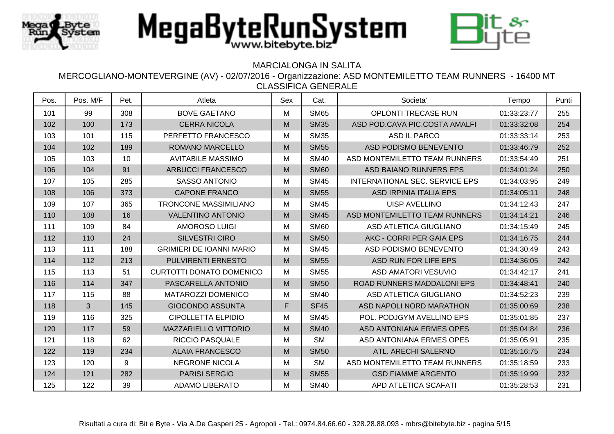



## MARCIALONGA IN SALITA

| Pos. | Pos. M/F | Pet. | Atleta                          | Sex | Cat.        | Societa'                       | Tempo       | Punti |
|------|----------|------|---------------------------------|-----|-------------|--------------------------------|-------------|-------|
| 101  | 99       | 308  | <b>BOVE GAETANO</b>             | M   | <b>SM65</b> | <b>OPLONTI TRECASE RUN</b>     | 01:33:23:77 | 255   |
| 102  | 100      | 173  | <b>CERRA NICOLA</b>             | M   | <b>SM35</b> | ASD POD.CAVA PIC.COSTA AMALFI  | 01:33:32:08 | 254   |
| 103  | 101      | 115  | PERFETTO FRANCESCO              | M   | <b>SM35</b> | ASD IL PARCO                   | 01:33:33:14 | 253   |
| 104  | 102      | 189  | <b>ROMANO MARCELLO</b>          | M   | <b>SM55</b> | ASD PODISMO BENEVENTO          | 01:33:46:79 | 252   |
| 105  | 103      | 10   | <b>AVITABILE MASSIMO</b>        | M   | <b>SM40</b> | ASD MONTEMILETTO TEAM RUNNERS  | 01:33:54:49 | 251   |
| 106  | 104      | 91   | <b>ARBUCCI FRANCESCO</b>        | M   | <b>SM60</b> | ASD BAIANO RUNNERS EPS         | 01:34:01:24 | 250   |
| 107  | 105      | 285  | <b>SASSO ANTONIO</b>            | M   | <b>SM45</b> | INTERNATIONAL SEC. SERVICE EPS | 01:34:03:95 | 249   |
| 108  | 106      | 373  | <b>CAPONE FRANCO</b>            | M   | <b>SM55</b> | <b>ASD IRPINIA ITALIA EPS</b>  | 01:34:05:11 | 248   |
| 109  | 107      | 365  | TRONCONE MASSIMILIANO           | M   | <b>SM45</b> | <b>UISP AVELLINO</b>           | 01:34:12:43 | 247   |
| 110  | 108      | 16   | <b>VALENTINO ANTONIO</b>        | M   | <b>SM45</b> | ASD MONTEMILETTO TEAM RUNNERS  | 01:34:14:21 | 246   |
| 111  | 109      | 84   | <b>AMOROSO LUIGI</b>            | M   | <b>SM60</b> | ASD ATLETICA GIUGLIANO         | 01:34:15:49 | 245   |
| 112  | 110      | 24   | <b>SILVESTRI CIRO</b>           | M   | <b>SM50</b> | AKC - CORRI PER GAIA EPS       | 01:34:16:75 | 244   |
| 113  | 111      | 188  | <b>GRIMIERI DE IOANNI MARIO</b> | M   | <b>SM45</b> | ASD PODISMO BENEVENTO          | 01:34:30:49 | 243   |
| 114  | 112      | 213  | PULVIRENTI ERNESTO              | M   | <b>SM55</b> | ASD RUN FOR LIFE EPS           | 01:34:36:05 | 242   |
| 115  | 113      | 51   | <b>CURTOTTI DONATO DOMENICO</b> | M   | <b>SM55</b> | <b>ASD AMATORI VESUVIO</b>     | 01:34:42:17 | 241   |
| 116  | 114      | 347  | PASCARELLA ANTONIO              | M   | <b>SM50</b> | ROAD RUNNERS MADDALONI EPS     | 01:34:48:41 | 240   |
| 117  | 115      | 88   | <b>MATAROZZI DOMENICO</b>       | M   | <b>SM40</b> | <b>ASD ATLETICA GIUGLIANO</b>  | 01:34:52:23 | 239   |
| 118  | 3        | 145  | <b>GIOCONDO ASSUNTA</b>         | F   | <b>SF45</b> | ASD NAPOLI NORD MARATHON       | 01:35:00:69 | 238   |
| 119  | 116      | 325  | <b>CIPOLLETTA ELPIDIO</b>       | M   | <b>SM45</b> | POL. PODJGYM AVELLINO EPS      | 01:35:01:85 | 237   |
| 120  | 117      | 59   | MAZZARIELLO VITTORIO            | M   | <b>SM40</b> | ASD ANTONIANA ERMES OPES       | 01:35:04:84 | 236   |
| 121  | 118      | 62   | <b>RICCIO PASQUALE</b>          | M   | <b>SM</b>   | ASD ANTONIANA ERMES OPES       | 01:35:05:91 | 235   |
| 122  | 119      | 234  | <b>ALAIA FRANCESCO</b>          | M   | <b>SM50</b> | ATL. ARECHI SALERNO            | 01:35:16:75 | 234   |
| 123  | 120      | 9    | <b>NEGRONE NICOLA</b>           | M   | <b>SM</b>   | ASD MONTEMILETTO TEAM RUNNERS  | 01:35:18:59 | 233   |
| 124  | 121      | 282  | <b>PARISI SERGIO</b>            | M   | <b>SM55</b> | <b>GSD FIAMME ARGENTO</b>      | 01:35:19:99 | 232   |
| 125  | 122      | 39   | <b>ADAMO LIBERATO</b>           | M   | <b>SM40</b> | APD ATLETICA SCAFATI           | 01:35:28:53 | 231   |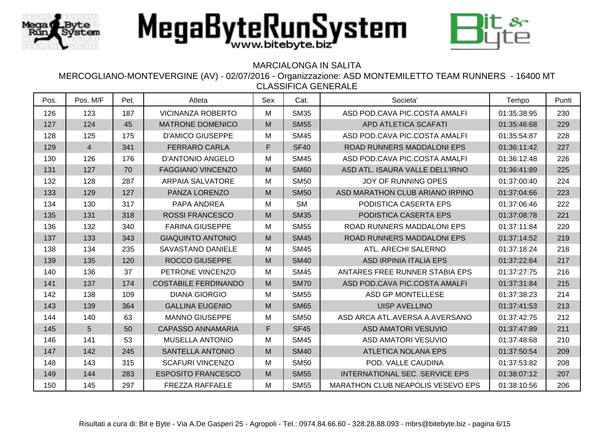



## MARCIALONGA IN SALITA

| Pos. | Pos. M/F       | Pet. | Atleta                      | Sex | Cat.        | Societa <sup>'</sup>                     | Tempo       | Punti |
|------|----------------|------|-----------------------------|-----|-------------|------------------------------------------|-------------|-------|
| 126  | 123            | 187  | <b>VICINANZA ROBERTO</b>    | Μ   | <b>SM35</b> | ASD POD.CAVA PIC.COSTA AMALFI            | 01:35:38:95 | 230   |
| 127  | 124            | 45   | <b>MATRONE DOMENICO</b>     | M   | <b>SM55</b> | APD ATLETICA SCAFATI                     | 01:35:46:68 | 229   |
| 128  | 125            | 175  | <b>D'AMICO GIUSEPPE</b>     | Μ   | <b>SM45</b> | ASD POD.CAVA PIC.COSTA AMALFI            | 01:35:54:87 | 228   |
| 129  | $\overline{4}$ | 341  | <b>FERRARO CARLA</b>        | F   | <b>SF40</b> | ROAD RUNNERS MADDALONI EPS               | 01:36:11:42 | 227   |
| 130  | 126            | 176  | <b>D'ANTONIO ANGELO</b>     | м   | <b>SM45</b> | ASD POD CAVA PIC COSTA AMALFI            | 01:36:12:48 | 226   |
| 131  | 127            | 70   | <b>FAGGIANO VINCENZO</b>    | M   | <b>SM60</b> | ASD ATL. ISAURA VALLE DELL'IRNO          | 01:36:41:89 | 225   |
| 132  | 128            | 287  | <b>ARPAIA SALVATORE</b>     | M   | <b>SM50</b> | <b>JOY OF RUNNING OPES</b>               | 01:37:00:40 | 224   |
| 133  | 129            | 127  | PANZA LORENZO               | M   | <b>SM50</b> | ASD MARATHON CLUB ARIANO IRPINO          | 01:37:04:66 | 223   |
| 134  | 130            | 317  | PAPA ANDREA                 | Μ   | <b>SM</b>   | PODISTICA CASERTA EPS                    | 01:37:06:46 | 222   |
| 135  | 131            | 318  | <b>ROSSI FRANCESCO</b>      | M   | <b>SM35</b> | PODISTICA CASERTA EPS                    | 01:37:08:78 | 221   |
| 136  | 132            | 340  | <b>FARINA GIUSEPPE</b>      | м   | <b>SM55</b> | ROAD RUNNERS MADDALONI EPS               | 01:37:11:84 | 220   |
| 137  | 133            | 343  | <b>GIAQUINTO ANTONIO</b>    | M   | <b>SM45</b> | ROAD RUNNERS MADDALONI EPS               | 01:37:14:52 | 219   |
| 138  | 134            | 235  | SAVASTANO DANIELE           | Μ   | <b>SM45</b> | ATL. ARECHI SALERNO                      | 01:37:18:24 | 218   |
| 139  | 135            | 120  | <b>ROCCO GIUSEPPE</b>       | M   | <b>SM40</b> | <b>ASD IRPINIA ITALIA EPS</b>            | 01:37:22:64 | 217   |
| 140  | 136            | 37   | PETRONE VINCENZO            | Μ   | <b>SM45</b> | ANTARES FREE RUNNER STABIA EPS           | 01:37:27:75 | 216   |
| 141  | 137            | 174  | <b>COSTABILE FERDINANDO</b> | M   | <b>SM70</b> | ASD POD.CAVA PIC.COSTA AMALFI            | 01:37:31:84 | 215   |
| 142  | 138            | 109  | <b>DIANA GIORGIO</b>        | м   | <b>SM55</b> | <b>ASD GP MONTELLESE</b>                 | 01:37:38:23 | 214   |
| 143  | 139            | 364  | <b>GALLINA EUGENIO</b>      | M   | <b>SM65</b> | <b>UISP AVELLINO</b>                     | 01:37:41:53 | 213   |
| 144  | 140            | 63   | <b>MANNO GIUSEPPE</b>       | Μ   | <b>SM50</b> | ASD ARCA ATL.AVERSA A.AVERSANO           | 01:37:42:75 | 212   |
| 145  | 5              | 50   | <b>CAPASSO ANNAMARIA</b>    | F   | <b>SF45</b> | <b>ASD AMATORI VESUVIO</b>               | 01:37:47:89 | 211   |
| 146  | 141            | 53   | <b>MUSELLA ANTONIO</b>      | M   | <b>SM45</b> | <b>ASD AMATORI VESUVIO</b>               | 01:37:48:68 | 210   |
| 147  | 142            | 245  | <b>SANTELLA ANTONIO</b>     | M   | <b>SM40</b> | <b>ATLETICA NOLANA EPS</b>               | 01:37:50:54 | 209   |
| 148  | 143            | 315  | <b>SCAFURI VINCENZO</b>     | Μ   | <b>SM50</b> | POD. VALLE CAUDINA                       | 01:37:53:82 | 208   |
| 149  | 144            | 283  | <b>ESPOSITO FRANCESCO</b>   | M   | <b>SM55</b> | INTERNATIONAL SEC. SERVICE EPS           | 01:38:07:12 | 207   |
| 150  | 145            | 297  | <b>FREZZA RAFFAELE</b>      | Μ   | <b>SM55</b> | <b>MARATHON CLUB NEAPOLIS VESEVO EPS</b> | 01:38:10:56 | 206   |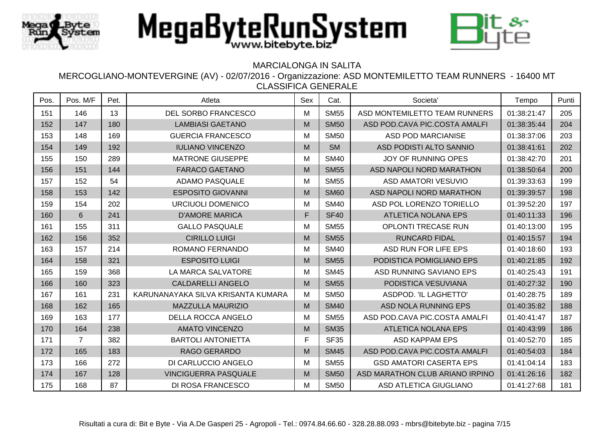





## MARCIALONGA IN SALITA

| Pos. | Pos. M/F       | Pet. | Atleta                             | Sex | Cat.        | Societa <sup>'</sup>            | Tempo       | Punti |
|------|----------------|------|------------------------------------|-----|-------------|---------------------------------|-------------|-------|
| 151  | 146            | 13   | DEL SORBO FRANCESCO                | M   | <b>SM55</b> | ASD MONTEMILETTO TEAM RUNNERS   | 01:38:21:47 | 205   |
| 152  | 147            | 180  | <b>LAMBIASI GAETANO</b>            | M   | <b>SM50</b> | ASD POD.CAVA PIC.COSTA AMALFI   | 01:38:35:44 | 204   |
| 153  | 148            | 169  | <b>GUERCIA FRANCESCO</b>           | M   | <b>SM50</b> | <b>ASD POD MARCIANISE</b>       | 01:38:37:06 | 203   |
| 154  | 149            | 192  | <b>IULIANO VINCENZO</b>            | M   | <b>SM</b>   | ASD PODISTI ALTO SANNIO         | 01:38:41:61 | 202   |
| 155  | 150            | 289  | <b>MATRONE GIUSEPPE</b>            | M   | <b>SM40</b> | <b>JOY OF RUNNING OPES</b>      | 01:38:42:70 | 201   |
| 156  | 151            | 144  | <b>FARACO GAETANO</b>              | M   | <b>SM55</b> | ASD NAPOLI NORD MARATHON        | 01:38:50:64 | 200   |
| 157  | 152            | 54   | <b>ADAMO PASQUALE</b>              | M   | <b>SM55</b> | ASD AMATORI VESUVIO             | 01:39:33:63 | 199   |
| 158  | 153            | 142  | <b>ESPOSITO GIOVANNI</b>           | M   | <b>SM60</b> | ASD NAPOLI NORD MARATHON        | 01:39:39:57 | 198   |
| 159  | 154            | 202  | URCIUOLI DOMENICO                  | M   | <b>SM40</b> | ASD POL LORENZO TORIELLO        | 01:39:52:20 | 197   |
| 160  | 6              | 241  | <b>D'AMORE MARICA</b>              | F   | <b>SF40</b> | <b>ATLETICA NOLANA EPS</b>      | 01:40:11:33 | 196   |
| 161  | 155            | 311  | <b>GALLO PASQUALE</b>              | M   | <b>SM55</b> | <b>OPLONTI TRECASE RUN</b>      | 01:40:13:00 | 195   |
| 162  | 156            | 352  | <b>CIRILLO LUIGI</b>               | M   | <b>SM55</b> | <b>RUNCARD FIDAL</b>            | 01:40:15:57 | 194   |
| 163  | 157            | 214  | ROMANO FERNANDO                    | M   | <b>SM40</b> | ASD RUN FOR LIFE EPS            | 01:40:18:60 | 193   |
| 164  | 158            | 321  | <b>ESPOSITO LUIGI</b>              | M   | <b>SM55</b> | PODISTICA POMIGLIANO EPS        | 01:40:21:85 | 192   |
| 165  | 159            | 368  | LA MARCA SALVATORE                 | M   | <b>SM45</b> | ASD RUNNING SAVIANO EPS         | 01:40:25:43 | 191   |
| 166  | 160            | 323  | <b>CALDARELLI ANGELO</b>           | M   | <b>SM55</b> | PODISTICA VESUVIANA             | 01:40:27:32 | 190   |
| 167  | 161            | 231  | KARUNANAYAKA SILVA KRISANTA KUMARA | M   | <b>SM50</b> | ASDPOD. 'IL LAGHETTO'           | 01:40:28:75 | 189   |
| 168  | 162            | 165  | <b>MAZZULLA MAURIZIO</b>           | M   | <b>SM40</b> | ASD NOLA RUNNING EPS            | 01:40:35:82 | 188   |
| 169  | 163            | 177  | DELLA ROCCA ANGELO                 | M   | <b>SM55</b> | ASD POD.CAVA PIC.COSTA AMALFI   | 01:40:41:47 | 187   |
| 170  | 164            | 238  | <b>AMATO VINCENZO</b>              | M   | <b>SM35</b> | <b>ATLETICA NOLANA EPS</b>      | 01:40:43:99 | 186   |
| 171  | $\overline{7}$ | 382  | <b>BARTOLI ANTONIETTA</b>          | F   | <b>SF35</b> | <b>ASD KAPPAM EPS</b>           | 01:40:52:70 | 185   |
| 172  | 165            | 183  | <b>RAGO GERARDO</b>                | M   | <b>SM45</b> | ASD POD.CAVA PIC.COSTA AMALFI   | 01:40:54:03 | 184   |
| 173  | 166            | 272  | DI CARLUCCIO ANGELO                | M   | <b>SM55</b> | <b>GSD AMATORI CASERTA EPS</b>  | 01:41:04:14 | 183   |
| 174  | 167            | 128  | <b>VINCIGUERRA PASQUALE</b>        | M   | <b>SM50</b> | ASD MARATHON CLUB ARIANO IRPINO | 01:41:26:16 | 182   |
| 175  | 168            | 87   | DI ROSA FRANCESCO                  | M   | <b>SM50</b> | <b>ASD ATLETICA GIUGLIANO</b>   | 01:41:27:68 | 181   |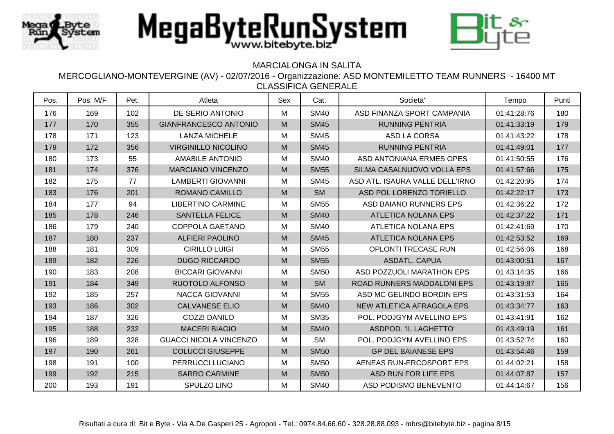



### MARCIALONGA IN SALITA

| Pos. | Pos. M/F | Pet. | Atleta                        | Sex | Cat.        | Societa'                         | Tempo       | Punti |
|------|----------|------|-------------------------------|-----|-------------|----------------------------------|-------------|-------|
| 176  | 169      | 102  | DE SERIO ANTONIO              | M   | <b>SM40</b> | ASD FINANZA SPORT CAMPANIA       | 01:41:28:76 | 180   |
| 177  | 170      | 355  | <b>GIANFRANCESCO ANTONIO</b>  | M   | <b>SM45</b> | <b>RUNNING PENTRIA</b>           | 01:41:33:19 | 179   |
| 178  | 171      | 123  | <b>LANZA MICHELE</b>          | M   | <b>SM45</b> | ASD LA CORSA                     | 01:41:43:22 | 178   |
| 179  | 172      | 356  | <b>VIRGINILLO NICOLINO</b>    | M   | <b>SM45</b> | <b>RUNNING PENTRIA</b>           | 01:41:49:01 | 177   |
| 180  | 173      | 55   | <b>AMABILE ANTONIO</b>        | M   | <b>SM40</b> | ASD ANTONIANA ERMES OPES         | 01:41:50:55 | 176   |
| 181  | 174      | 376  | <b>MARCIANO VINCENZO</b>      | M   | <b>SM55</b> | SILMA CASALNUOVO VOLLA EPS       | 01:41:57:66 | 175   |
| 182  | 175      | 77   | <b>LAMBERTI GIOVANNI</b>      | M   | <b>SM45</b> | ASD ATL. ISAURA VALLE DELL'IRNO  | 01:42:20:95 | 174   |
| 183  | 176      | 201  | ROMANO CAMILLO                | M   | <b>SM</b>   | ASD POL LORENZO TORIELLO         | 01:42:22:17 | 173   |
| 184  | 177      | 94   | <b>LIBERTINO CARMINE</b>      | M   | <b>SM55</b> | ASD BAIANO RUNNERS EPS           | 01:42:36:22 | 172   |
| 185  | 178      | 246  | <b>SANTELLA FELICE</b>        | M   | <b>SM40</b> | <b>ATLETICA NOLANA EPS</b>       | 01:42:37:22 | 171   |
| 186  | 179      | 240  | <b>COPPOLA GAETANO</b>        | M   | <b>SM40</b> | <b>ATLETICA NOLANA EPS</b>       | 01:42:41:69 | 170   |
| 187  | 180      | 237  | <b>ALFIERI PAOLINO</b>        | M   | <b>SM45</b> | <b>ATLETICA NOLANA EPS</b>       | 01:42:53:52 | 169   |
| 188  | 181      | 309  | <b>CIRILLO LUIGI</b>          | M   | <b>SM55</b> | <b>OPLONTI TRECASE RUN</b>       | 01:42:56:06 | 168   |
| 189  | 182      | 226  | <b>DUGO RICCARDO</b>          | M   | <b>SM55</b> | <b>ASDATL. CAPUA</b>             | 01:43:00:51 | 167   |
| 190  | 183      | 208  | <b>BICCARI GIOVANNI</b>       | M   | <b>SM50</b> | ASD POZZUOLI MARATHON EPS        | 01:43:14:35 | 166   |
| 191  | 184      | 349  | RUOTOLO ALFONSO               | M   | <b>SM</b>   | ROAD RUNNERS MADDALONI EPS       | 01:43:19:87 | 165   |
| 192  | 185      | 257  | <b>NACCA GIOVANNI</b>         | M   | <b>SM55</b> | ASD MC GELINDO BORDIN EPS        | 01:43:31:53 | 164   |
| 193  | 186      | 302  | <b>CALVANESE ELIO</b>         | M   | <b>SM40</b> | <b>NEW ATLETICA AFRAGOLA EPS</b> | 01:43:34:77 | 163   |
| 194  | 187      | 326  | <b>COZZI DANILO</b>           | M   | <b>SM35</b> | POL. PODJGYM AVELLINO EPS        | 01:43:41:91 | 162   |
| 195  | 188      | 232  | <b>MACERI BIAGIO</b>          | M   | <b>SM40</b> | ASDPOD. 'IL LAGHETTO'            | 01:43:49:19 | 161   |
| 196  | 189      | 328  | <b>GUACCI NICOLA VINCENZO</b> | M   | <b>SM</b>   | POL. PODJGYM AVELLINO EPS        | 01:43:52:74 | 160   |
| 197  | 190      | 261  | <b>COLUCCI GIUSEPPE</b>       | M   | <b>SM50</b> | <b>GP DEL BAIANESE EPS</b>       | 01:43:54:46 | 159   |
| 198  | 191      | 100  | PERRUCCI LUCIANO              | M   | <b>SM50</b> | AENEAS RUN-ERCOSPORT EPS         | 01:44:02:21 | 158   |
| 199  | 192      | 215  | <b>SARRO CARMINE</b>          | M   | <b>SM50</b> | ASD RUN FOR LIFE EPS             | 01:44:07:87 | 157   |
| 200  | 193      | 191  | SPULZO LINO                   | M   | <b>SM40</b> | ASD PODISMO BENEVENTO            | 01:44:14:67 | 156   |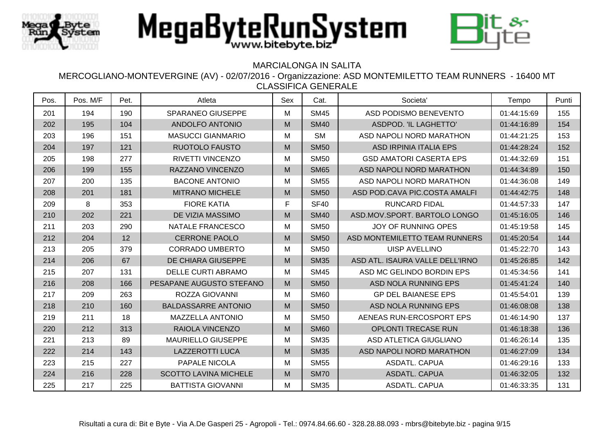

## MARCIALONGA IN SALITA

| Pos. | Pos. M/F | Pet. | Atleta                       | Sex | Cat.        | Societa'                        | Tempo       | Punti |
|------|----------|------|------------------------------|-----|-------------|---------------------------------|-------------|-------|
| 201  | 194      | 190  | <b>SPARANEO GIUSEPPE</b>     | М   | <b>SM45</b> | ASD PODISMO BENEVENTO           | 01:44:15:69 | 155   |
| 202  | 195      | 104  | ANDOLFO ANTONIO              | M   | <b>SM40</b> | ASDPOD. 'IL LAGHETTO'           | 01:44:16:89 | 154   |
| 203  | 196      | 151  | <b>MASUCCI GIANMARIO</b>     | м   | <b>SM</b>   | ASD NAPOLI NORD MARATHON        | 01:44:21:25 | 153   |
| 204  | 197      | 121  | <b>RUOTOLO FAUSTO</b>        | M   | <b>SM50</b> | <b>ASD IRPINIA ITALIA EPS</b>   | 01:44:28:24 | 152   |
| 205  | 198      | 277  | RIVETTI VINCENZO             | М   | <b>SM50</b> | <b>GSD AMATORI CASERTA EPS</b>  | 01:44:32:69 | 151   |
| 206  | 199      | 155  | RAZZANO VINCENZO             | M   | <b>SM65</b> | ASD NAPOLI NORD MARATHON        | 01:44:34:89 | 150   |
| 207  | 200      | 135  | <b>BACONE ANTONIO</b>        | M   | <b>SM55</b> | ASD NAPOLI NORD MARATHON        | 01:44:36:08 | 149   |
| 208  | 201      | 181  | <b>MITRANO MICHELE</b>       | M   | <b>SM50</b> | ASD POD.CAVA PIC.COSTA AMALFI   | 01:44:42:75 | 148   |
| 209  | 8        | 353  | <b>FIORE KATIA</b>           | F   | <b>SF40</b> | <b>RUNCARD FIDAL</b>            | 01:44:57:33 | 147   |
| 210  | 202      | 221  | DE VIZIA MASSIMO             | M   | <b>SM40</b> | ASD.MOV.SPORT. BARTOLO LONGO    | 01:45:16:05 | 146   |
| 211  | 203      | 290  | NATALE FRANCESCO             | Μ   | <b>SM50</b> | <b>JOY OF RUNNING OPES</b>      | 01:45:19:58 | 145   |
| 212  | 204      | 12   | <b>CERRONE PAOLO</b>         | M   | <b>SM50</b> | ASD MONTEMILETTO TEAM RUNNERS   | 01:45:20:54 | 144   |
| 213  | 205      | 379  | <b>CORRADO UMBERTO</b>       | М   | <b>SM50</b> | <b>UISP AVELLINO</b>            | 01:45:22:70 | 143   |
| 214  | 206      | 67   | DE CHIARA GIUSEPPE           | M   | <b>SM35</b> | ASD ATL. ISAURA VALLE DELL'IRNO | 01:45:26:85 | 142   |
| 215  | 207      | 131  | <b>DELLE CURTI ABRAMO</b>    | м   | <b>SM45</b> | ASD MC GELINDO BORDIN EPS       | 01:45:34:56 | 141   |
| 216  | 208      | 166  | PESAPANE AUGUSTO STEFANO     | M   | <b>SM50</b> | ASD NOLA RUNNING EPS            | 01:45:41:24 | 140   |
| 217  | 209      | 263  | ROZZA GIOVANNI               | М   | <b>SM60</b> | <b>GP DEL BAIANESE EPS</b>      | 01:45:54:01 | 139   |
| 218  | 210      | 160  | <b>BALDASSARRE ANTONIO</b>   | M   | <b>SM50</b> | ASD NOLA RUNNING EPS            | 01:46:08:08 | 138   |
| 219  | 211      | 18   | <b>MAZZELLA ANTONIO</b>      | M   | <b>SM50</b> | AENEAS RUN-ERCOSPORT EPS        | 01:46:14:90 | 137   |
| 220  | 212      | 313  | <b>RAIOLA VINCENZO</b>       | M   | <b>SM60</b> | <b>OPLONTI TRECASE RUN</b>      | 01:46:18:38 | 136   |
| 221  | 213      | 89   | MAURIELLO GIUSEPPE           | М   | <b>SM35</b> | ASD ATLETICA GIUGLIANO          | 01:46:26:14 | 135   |
| 222  | 214      | 143  | <b>LAZZEROTTI LUCA</b>       | M   | <b>SM35</b> | ASD NAPOLI NORD MARATHON        | 01:46:27:09 | 134   |
| 223  | 215      | 227  | PAPALE NICOLA                | м   | <b>SM55</b> | <b>ASDATL. CAPUA</b>            | 01:46:29:16 | 133   |
| 224  | 216      | 228  | <b>SCOTTO LAVINA MICHELE</b> | M   | <b>SM70</b> | <b>ASDATL. CAPUA</b>            | 01:46:32:05 | 132   |
| 225  | 217      | 225  | <b>BATTISTA GIOVANNI</b>     | Μ   | <b>SM35</b> | <b>ASDATL. CAPUA</b>            | 01:46:33:35 | 131   |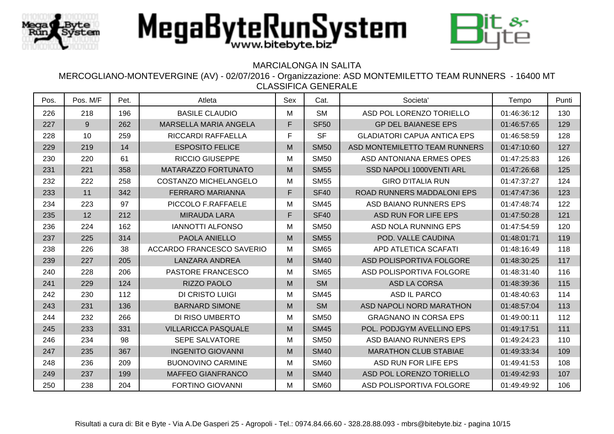



### MARCIALONGA IN SALITA

| Pos. | Pos. M/F | Pet. | Atleta                       | Sex | Cat.        | Societa <sup>®</sup>               | Tempo       | Punti |
|------|----------|------|------------------------------|-----|-------------|------------------------------------|-------------|-------|
| 226  | 218      | 196  | <b>BASILE CLAUDIO</b>        | M   | <b>SM</b>   | ASD POL LORENZO TORIELLO           | 01:46:36:12 | 130   |
| 227  | 9        | 262  | MARSELLA MARIA ANGELA        | F   | <b>SF50</b> | <b>GP DEL BAIANESE EPS</b>         | 01:46:57:65 | 129   |
| 228  | 10       | 259  | RICCARDI RAFFAELLA           | F.  | <b>SF</b>   | <b>GLADIATORI CAPUA ANTICA EPS</b> | 01:46:58:59 | 128   |
| 229  | 219      | 14   | <b>ESPOSITO FELICE</b>       | M   | <b>SM50</b> | ASD MONTEMILETTO TEAM RUNNERS      | 01:47:10:60 | 127   |
| 230  | 220      | 61   | <b>RICCIO GIUSEPPE</b>       | M   | <b>SM50</b> | ASD ANTONIANA ERMES OPES           | 01:47:25:83 | 126   |
| 231  | 221      | 358  | MATARAZZO FORTUNATO          | M   | <b>SM55</b> | SSD NAPOLI 1000VENTI ARL           | 01:47:26:68 | 125   |
| 232  | 222      | 258  | <b>COSTANZO MICHELANGELO</b> | M   | <b>SM55</b> | <b>GIRO D'ITALIA RUN</b>           | 01:47:37:27 | 124   |
| 233  | 11       | 342  | <b>FERRARO MARIANNA</b>      | F   | <b>SF40</b> | <b>ROAD RUNNERS MADDALONI EPS</b>  | 01:47:47:36 | 123   |
| 234  | 223      | 97   | PICCOLO F.RAFFAELE           | M   | <b>SM45</b> | ASD BAIANO RUNNERS EPS             | 01:47:48:74 | 122   |
| 235  | 12       | 212  | <b>MIRAUDA LARA</b>          | F   | <b>SF40</b> | ASD RUN FOR LIFE EPS               | 01:47:50:28 | 121   |
| 236  | 224      | 162  | <b>IANNOTTI ALFONSO</b>      | M   | <b>SM50</b> | ASD NOLA RUNNING EPS               | 01:47:54:59 | 120   |
| 237  | 225      | 314  | PAOLA ANIELLO                | M   | <b>SM55</b> | POD. VALLE CAUDINA                 | 01:48:01:71 | 119   |
| 238  | 226      | 38   | ACCARDO FRANCESCO SAVERIO    | м   | <b>SM65</b> | APD ATLETICA SCAFATI               | 01:48:16:49 | 118   |
| 239  | 227      | 205  | <b>LANZARA ANDREA</b>        | M   | <b>SM40</b> | ASD POLISPORTIVA FOLGORE           | 01:48:30:25 | 117   |
| 240  | 228      | 206  | PASTORE FRANCESCO            | м   | <b>SM65</b> | ASD POLISPORTIVA FOLGORE           | 01:48:31:40 | 116   |
| 241  | 229      | 124  | RIZZO PAOLO                  | M   | <b>SM</b>   | <b>ASD LA CORSA</b>                | 01:48:39:36 | 115   |
| 242  | 230      | 112  | <b>DI CRISTO LUIGI</b>       | M   | <b>SM45</b> | <b>ASD IL PARCO</b>                | 01:48:40:63 | 114   |
| 243  | 231      | 136  | <b>BARNARD SIMONE</b>        | M   | <b>SM</b>   | ASD NAPOLI NORD MARATHON           | 01:48:57:04 | 113   |
| 244  | 232      | 266  | DI RISO UMBERTO              | M   | <b>SM50</b> | <b>GRAGNANO IN CORSA EPS</b>       | 01:49:00:11 | 112   |
| 245  | 233      | 331  | <b>VILLARICCA PASQUALE</b>   | M   | <b>SM45</b> | POL. PODJGYM AVELLINO EPS          | 01:49:17:51 | 111   |
| 246  | 234      | 98   | <b>SEPE SALVATORE</b>        | м   | <b>SM50</b> | ASD BAIANO RUNNERS EPS             | 01:49:24:23 | 110   |
| 247  | 235      | 367  | <b>INGENITO GIOVANNI</b>     | M   | <b>SM40</b> | <b>MARATHON CLUB STABIAE</b>       | 01:49:33:34 | 109   |
| 248  | 236      | 209  | <b>BUONOVINO CARMINE</b>     | M   | <b>SM60</b> | ASD RUN FOR LIFE EPS               | 01:49:41:53 | 108   |
| 249  | 237      | 199  | <b>MAFFEO GIANFRANCO</b>     | M   | <b>SM40</b> | ASD POL LORENZO TORIELLO           | 01:49:42:93 | 107   |
| 250  | 238      | 204  | <b>FORTINO GIOVANNI</b>      | м   | <b>SM60</b> | ASD POLISPORTIVA FOLGORE           | 01:49:49:92 | 106   |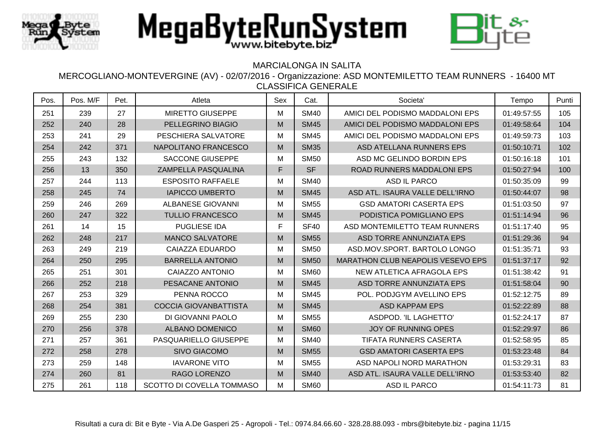



## MARCIALONGA IN SALITA

| Pos. | Pos. M/F | Pet. | Atleta                       | Sex | Cat.             | Societa'                          | Tempo       | Punti |
|------|----------|------|------------------------------|-----|------------------|-----------------------------------|-------------|-------|
| 251  | 239      | 27   | <b>MIRETTO GIUSEPPE</b>      | M   | <b>SM40</b>      | AMICI DEL PODISMO MADDALONI EPS   | 01:49:57:55 | 105   |
| 252  | 240      | 28   | PELLEGRINO BIAGIO            | M   | <b>SM45</b>      | AMICI DEL PODISMO MADDALONI EPS   | 01:49:58:64 | 104   |
| 253  | 241      | 29   | PESCHIERA SALVATORE          | M   | <b>SM45</b>      | AMICI DEL PODISMO MADDALONI EPS   | 01:49:59:73 | 103   |
| 254  | 242      | 371  | NAPOLITANO FRANCESCO         | M   | <b>SM35</b>      | ASD ATELLANA RUNNERS EPS          | 01:50:10:71 | 102   |
| 255  | 243      | 132  | <b>SACCONE GIUSEPPE</b>      | M   | <b>SM50</b>      | ASD MC GELINDO BORDIN EPS         | 01:50:16:18 | 101   |
| 256  | 13       | 350  | ZAMPELLA PASQUALINA          | F   | <b>SF</b>        | ROAD RUNNERS MADDALONI EPS        | 01:50:27:94 | 100   |
| 257  | 244      | 113  | <b>ESPOSITO RAFFAELE</b>     | M   | <b>SM40</b>      | ASD IL PARCO                      | 01:50:35:09 | 99    |
| 258  | 245      | 74   | <b>IAPICCO UMBERTO</b>       | M   | <b>SM45</b>      | ASD ATL. ISAURA VALLE DELL'IRNO   | 01:50:44:07 | 98    |
| 259  | 246      | 269  | <b>ALBANESE GIOVANNI</b>     | M   | <b>SM55</b>      | <b>GSD AMATORI CASERTA EPS</b>    | 01:51:03:50 | 97    |
| 260  | 247      | 322  | <b>TULLIO FRANCESCO</b>      | M   | <b>SM45</b>      | PODISTICA POMIGLIANO EPS          | 01:51:14:94 | 96    |
| 261  | 14       | 15   | <b>PUGLIESE IDA</b>          | F   | <b>SF40</b>      | ASD MONTEMILETTO TEAM RUNNERS     | 01:51:17:40 | 95    |
| 262  | 248      | 217  | <b>MANCO SALVATORE</b>       | M   | <b>SM55</b>      | ASD TORRE ANNUNZIATA EPS          | 01:51:29:36 | 94    |
| 263  | 249      | 219  | CAIAZZA EDUARDO              | M   | <b>SM50</b>      | ASD.MOV.SPORT. BARTOLO LONGO      | 01:51:35:71 | 93    |
| 264  | 250      | 295  | <b>BARRELLA ANTONIO</b>      | M   | <b>SM50</b>      | MARATHON CLUB NEAPOLIS VESEVO EPS | 01:51:37:17 | 92    |
| 265  | 251      | 301  | CAIAZZO ANTONIO              | M   | <b>SM60</b>      | NEW ATLETICA AFRAGOLA EPS         | 01:51:38:42 | 91    |
| 266  | 252      | 218  | PESACANE ANTONIO             | M   | <b>SM45</b>      | ASD TORRE ANNUNZIATA EPS          | 01:51:58:04 | 90    |
| 267  | 253      | 329  | PENNA ROCCO                  | M   | <b>SM45</b>      | POL. PODJGYM AVELLINO EPS         | 01:52:12:75 | 89    |
| 268  | 254      | 381  | <b>COCCIA GIOVANBATTISTA</b> | M   | <b>SM45</b>      | <b>ASD KAPPAM EPS</b>             | 01:52:22:89 | 88    |
| 269  | 255      | 230  | DI GIOVANNI PAOLO            | M   | <b>SM55</b>      | ASDPOD. 'IL LAGHETTO'             | 01:52:24:17 | 87    |
| 270  | 256      | 378  | <b>ALBANO DOMENICO</b>       | M   | <b>SM60</b>      | <b>JOY OF RUNNING OPES</b>        | 01:52:29:97 | 86    |
| 271  | 257      | 361  | PASQUARIELLO GIUSEPPE        | M   | <b>SM40</b>      | <b>TIFATA RUNNERS CASERTA</b>     | 01:52:58:95 | 85    |
| 272  | 258      | 278  | <b>SIVO GIACOMO</b>          | M   | <b>SM55</b>      | <b>GSD AMATORI CASERTA EPS</b>    | 01:53:23:48 | 84    |
| 273  | 259      | 148  | <b>IAVARONE VITO</b>         | M   | <b>SM55</b>      | ASD NAPOLI NORD MARATHON          | 01:53:29:31 | 83    |
| 274  | 260      | 81   | RAGO LORENZO                 | M   | <b>SM40</b>      | ASD ATL. ISAURA VALLE DELL'IRNO   | 01:53:53:40 | 82    |
| 275  | 261      | 118  | SCOTTO DI COVELLA TOMMASO    | M   | SM <sub>60</sub> | <b>ASD IL PARCO</b>               | 01:54:11:73 | 81    |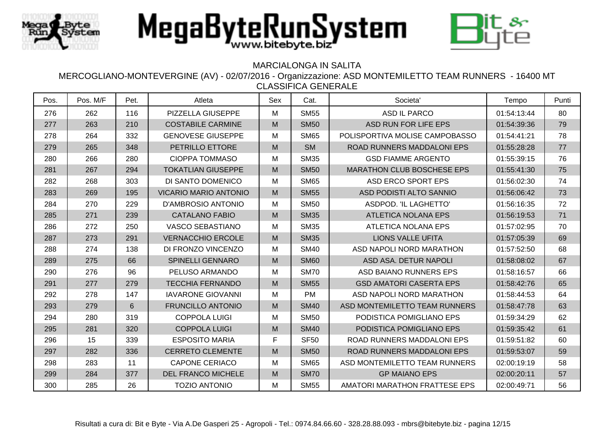



## MARCIALONGA IN SALITA

| Pos. | Pos. M/F | Pet. | Atleta                       | Sex | Cat.        | Societa'                          | Tempo       | Punti |
|------|----------|------|------------------------------|-----|-------------|-----------------------------------|-------------|-------|
| 276  | 262      | 116  | PIZZELLA GIUSEPPE            | M   | <b>SM55</b> | <b>ASD IL PARCO</b>               | 01:54:13:44 | 80    |
| 277  | 263      | 210  | <b>COSTABILE CARMINE</b>     | M   | <b>SM50</b> | ASD RUN FOR LIFE EPS              | 01:54:39:36 | 79    |
| 278  | 264      | 332  | <b>GENOVESE GIUSEPPE</b>     | M   | <b>SM65</b> | POLISPORTIVA MOLISE CAMPOBASSO    | 01:54:41:21 | 78    |
| 279  | 265      | 348  | PETRILLO ETTORE              | M   | <b>SM</b>   | ROAD RUNNERS MADDALONI EPS        | 01:55:28:28 | 77    |
| 280  | 266      | 280  | <b>CIOPPA TOMMASO</b>        | M   | <b>SM35</b> | <b>GSD FIAMME ARGENTO</b>         | 01:55:39:15 | 76    |
| 281  | 267      | 294  | <b>TOKATLIAN GIUSEPPE</b>    | M   | <b>SM50</b> | <b>MARATHON CLUB BOSCHESE EPS</b> | 01:55:41:30 | 75    |
| 282  | 268      | 303  | DI SANTO DOMENICO            | M   | <b>SM65</b> | ASD ERCO SPORT EPS                | 01:56:02:30 | 74    |
| 283  | 269      | 195  | <b>VICARIO MARIO ANTONIO</b> | M   | <b>SM55</b> | ASD PODISTI ALTO SANNIO           | 01:56:06:42 | 73    |
| 284  | 270      | 229  | <b>D'AMBROSIO ANTONIO</b>    | M   | <b>SM50</b> | ASDPOD. 'IL LAGHETTO'             | 01:56:16:35 | 72    |
| 285  | 271      | 239  | <b>CATALANO FABIO</b>        | M   | <b>SM35</b> | <b>ATLETICA NOLANA EPS</b>        | 01:56:19:53 | 71    |
| 286  | 272      | 250  | <b>VASCO SEBASTIANO</b>      | М   | <b>SM35</b> | <b>ATLETICA NOLANA EPS</b>        | 01:57:02:95 | 70    |
| 287  | 273      | 291  | <b>VERNACCHIO ERCOLE</b>     | M   | <b>SM35</b> | <b>LIONS VALLE UFITA</b>          | 01:57:05:39 | 69    |
| 288  | 274      | 138  | DI FRONZO VINCENZO           | М   | <b>SM40</b> | ASD NAPOLI NORD MARATHON          | 01:57:52:50 | 68    |
| 289  | 275      | 66   | <b>SPINELLI GENNARO</b>      | M   | <b>SM60</b> | ASD ASA. DETUR NAPOLI             | 01:58:08:02 | 67    |
| 290  | 276      | 96   | PELUSO ARMANDO               | M   | <b>SM70</b> | ASD BAIANO RUNNERS EPS            | 01:58:16:57 | 66    |
| 291  | 277      | 279  | <b>TECCHIA FERNANDO</b>      | M   | <b>SM55</b> | <b>GSD AMATORI CASERTA EPS</b>    | 01:58:42:76 | 65    |
| 292  | 278      | 147  | <b>IAVARONE GIOVANNI</b>     | M   | <b>PM</b>   | ASD NAPOLI NORD MARATHON          | 01:58:44:53 | 64    |
| 293  | 279      | 6    | <b>FRUNCILLO ANTONIO</b>     | M   | <b>SM40</b> | ASD MONTEMILETTO TEAM RUNNERS     | 01:58:47:78 | 63    |
| 294  | 280      | 319  | <b>COPPOLA LUIGI</b>         | M   | <b>SM50</b> | PODISTICA POMIGLIANO EPS          | 01:59:34:29 | 62    |
| 295  | 281      | 320  | <b>COPPOLA LUIGI</b>         | M   | <b>SM40</b> | PODISTICA POMIGLIANO EPS          | 01:59:35:42 | 61    |
| 296  | 15       | 339  | <b>ESPOSITO MARIA</b>        | F.  | <b>SF50</b> | ROAD RUNNERS MADDALONI EPS        | 01:59:51:82 | 60    |
| 297  | 282      | 336  | <b>CERRETO CLEMENTE</b>      | M   | <b>SM50</b> | ROAD RUNNERS MADDALONI EPS        | 01:59:53:07 | 59    |
| 298  | 283      | 11   | <b>CAPONE CERIACO</b>        | М   | <b>SM65</b> | ASD MONTEMILETTO TEAM RUNNERS     | 02:00:19:19 | 58    |
| 299  | 284      | 377  | <b>DEL FRANCO MICHELE</b>    | M   | <b>SM70</b> | <b>GP MAIANO EPS</b>              | 02:00:20:11 | 57    |
| 300  | 285      | 26   | <b>TOZIO ANTONIO</b>         | M   | <b>SM55</b> | AMATORI MARATHON FRATTESE EPS     | 02:00:49:71 | 56    |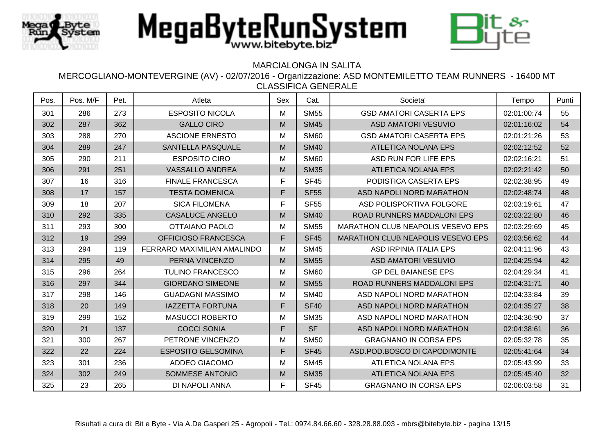



## MARCIALONGA IN SALITA

| Pos. | Pos. M/F | Pet. | Atleta                      | Sex | Cat.        | Societa <sup>'</sup>              | Tempo       | Punti |
|------|----------|------|-----------------------------|-----|-------------|-----------------------------------|-------------|-------|
| 301  | 286      | 273  | <b>ESPOSITO NICOLA</b>      | M   | <b>SM55</b> | <b>GSD AMATORI CASERTA EPS</b>    | 02:01:00:74 | 55    |
| 302  | 287      | 362  | <b>GALLO CIRO</b>           | M   | <b>SM45</b> | <b>ASD AMATORI VESUVIO</b>        | 02:01:16:02 | 54    |
| 303  | 288      | 270  | <b>ASCIONE ERNESTO</b>      | M   | <b>SM60</b> | <b>GSD AMATORI CASERTA EPS</b>    | 02:01:21:26 | 53    |
| 304  | 289      | 247  | SANTELLA PASQUALE           | M   | <b>SM40</b> | <b>ATLETICA NOLANA EPS</b>        | 02:02:12:52 | 52    |
| 305  | 290      | 211  | <b>ESPOSITO CIRO</b>        | Μ   | <b>SM60</b> | ASD RUN FOR LIFE EPS              | 02:02:16:21 | 51    |
| 306  | 291      | 251  | <b>VASSALLO ANDREA</b>      | M   | <b>SM35</b> | <b>ATLETICA NOLANA EPS</b>        | 02:02:21:42 | 50    |
| 307  | 16       | 316  | <b>FINALE FRANCESCA</b>     | F   | <b>SF45</b> | PODISTICA CASERTA EPS             | 02:02:38:95 | 49    |
| 308  | 17       | 157  | <b>TESTA DOMENICA</b>       | F   | <b>SF55</b> | ASD NAPOLI NORD MARATHON          | 02:02:48:74 | 48    |
| 309  | 18       | 207  | <b>SICA FILOMENA</b>        | F   | <b>SF55</b> | ASD POLISPORTIVA FOLGORE          | 02:03:19:61 | 47    |
| 310  | 292      | 335  | <b>CASALUCE ANGELO</b>      | M   | <b>SM40</b> | <b>ROAD RUNNERS MADDALONI EPS</b> | 02:03:22:80 | 46    |
| 311  | 293      | 300  | <b>OTTAIANO PAOLO</b>       | M   | <b>SM55</b> | MARATHON CLUB NEAPOLIS VESEVO EPS | 02:03:29:69 | 45    |
| 312  | 19       | 299  | OFFICIOSO FRANCESCA         | F   | <b>SF45</b> | MARATHON CLUB NEAPOLIS VESEVO EPS | 02:03:56:62 | 44    |
| 313  | 294      | 119  | FERRARO MAXIMILIAN AMALINDO | M   | <b>SM45</b> | ASD IRPINIA ITALIA EPS            | 02:04:11:96 | 43    |
| 314  | 295      | 49   | PERNA VINCENZO              | M   | <b>SM55</b> | <b>ASD AMATORI VESUVIO</b>        | 02:04:25:94 | 42    |
| 315  | 296      | 264  | <b>TULINO FRANCESCO</b>     | M   | <b>SM60</b> | <b>GP DEL BAIANESE EPS</b>        | 02:04:29:34 | 41    |
| 316  | 297      | 344  | <b>GIORDANO SIMEONE</b>     | M   | <b>SM55</b> | ROAD RUNNERS MADDALONI EPS        | 02:04:31:71 | 40    |
| 317  | 298      | 146  | <b>GUADAGNI MASSIMO</b>     | M   | <b>SM40</b> | ASD NAPOLI NORD MARATHON          | 02:04:33:84 | 39    |
| 318  | 20       | 149  | <b>IAZZETTA FORTUNA</b>     | F   | <b>SF40</b> | ASD NAPOLI NORD MARATHON          | 02:04:35:27 | 38    |
| 319  | 299      | 152  | <b>MASUCCI ROBERTO</b>      | M   | <b>SM35</b> | ASD NAPOLI NORD MARATHON          | 02:04:36:90 | 37    |
| 320  | 21       | 137  | <b>COCCI SONIA</b>          | F   | <b>SF</b>   | ASD NAPOLI NORD MARATHON          | 02:04:38:61 | 36    |
| 321  | 300      | 267  | PETRONE VINCENZO            | Μ   | <b>SM50</b> | <b>GRAGNANO IN CORSA EPS</b>      | 02:05:32:78 | 35    |
| 322  | 22       | 224  | <b>ESPOSITO GELSOMINA</b>   | F   | <b>SF45</b> | ASD.POD.BOSCO DI CAPODIMONTE      | 02:05:41:64 | 34    |
| 323  | 301      | 236  | ADDEO GIACOMO               | M   | <b>SM45</b> | <b>ATLETICA NOLANA EPS</b>        | 02:05:43:99 | 33    |
| 324  | 302      | 249  | SOMMESE ANTONIO             | M   | <b>SM35</b> | <b>ATLETICA NOLANA EPS</b>        | 02:05:45:40 | 32    |
| 325  | 23       | 265  | DI NAPOLI ANNA              | F   | <b>SF45</b> | <b>GRAGNANO IN CORSA EPS</b>      | 02:06:03:58 | 31    |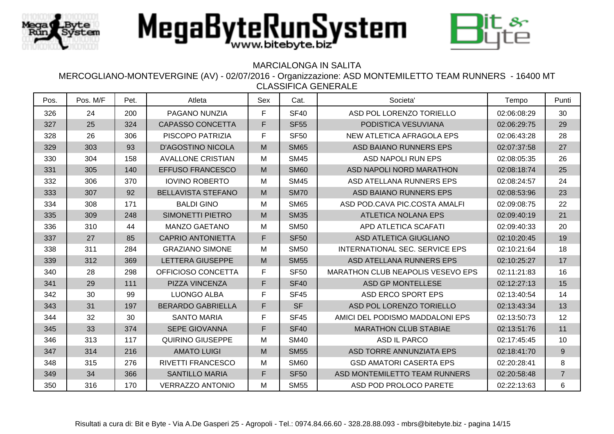



## MARCIALONGA IN SALITA

| Pos. | Pos. M/F | Pet. | Atleta                    | Sex          | Cat.        | Societa'                          | Tempo       | Punti          |
|------|----------|------|---------------------------|--------------|-------------|-----------------------------------|-------------|----------------|
| 326  | 24       | 200  | PAGANO NUNZIA             | F            | <b>SF40</b> | ASD POL LORENZO TORIELLO          | 02:06:08:29 | 30             |
| 327  | 25       | 324  | <b>CAPASSO CONCETTA</b>   | $\mathsf F$  | <b>SF55</b> | PODISTICA VESUVIANA               | 02:06:29:75 | 29             |
| 328  | 26       | 306  | PISCOPO PATRIZIA          | $\mathsf{F}$ | <b>SF50</b> | NEW ATLETICA AFRAGOLA EPS         | 02:06:43:28 | 28             |
| 329  | 303      | 93   | <b>D'AGOSTINO NICOLA</b>  | M            | <b>SM65</b> | ASD BAIANO RUNNERS EPS            | 02:07:37:58 | 27             |
| 330  | 304      | 158  | <b>AVALLONE CRISTIAN</b>  | M            | <b>SM45</b> | <b>ASD NAPOLI RUN EPS</b>         | 02:08:05:35 | 26             |
| 331  | 305      | 140  | <b>EFFUSO FRANCESCO</b>   | M            | <b>SM60</b> | ASD NAPOLI NORD MARATHON          | 02:08:18:74 | 25             |
| 332  | 306      | 370  | <b>IOVINO ROBERTO</b>     | M            | <b>SM45</b> | ASD ATELLANA RUNNERS EPS          | 02:08:24:57 | 24             |
| 333  | 307      | 92   | <b>BELLAVISTA STEFANO</b> | M            | <b>SM70</b> | ASD BAIANO RUNNERS EPS            | 02:08:53:96 | 23             |
| 334  | 308      | 171  | <b>BALDI GINO</b>         | M            | <b>SM65</b> | ASD POD.CAVA PIC.COSTA AMALFI     | 02:09:08:75 | 22             |
| 335  | 309      | 248  | <b>SIMONETTI PIETRO</b>   | M            | <b>SM35</b> | <b>ATLETICA NOLANA EPS</b>        | 02:09:40:19 | 21             |
| 336  | 310      | 44   | <b>MANZO GAETANO</b>      | M            | <b>SM50</b> | APD ATLETICA SCAFATI              | 02:09:40:33 | 20             |
| 337  | 27       | 85   | <b>CAPRIO ANTONIETTA</b>  | F            | <b>SF50</b> | <b>ASD ATLETICA GIUGLIANO</b>     | 02:10:20:45 | 19             |
| 338  | 311      | 284  | <b>GRAZIANO SIMONE</b>    | M            | <b>SM50</b> | INTERNATIONAL SEC. SERVICE EPS    | 02:10:21:64 | 18             |
| 339  | 312      | 369  | <b>LETTERA GIUSEPPE</b>   | M            | <b>SM55</b> | ASD ATELLANA RUNNERS EPS          | 02:10:25:27 | 17             |
| 340  | 28       | 298  | OFFICIOSO CONCETTA        | $\mathsf F$  | <b>SF50</b> | MARATHON CLUB NEAPOLIS VESEVO EPS | 02:11:21:83 | 16             |
| 341  | 29       | 111  | PIZZA VINCENZA            | F            | <b>SF40</b> | ASD GP MONTELLESE                 | 02:12:27:13 | 15             |
| 342  | 30       | 99   | <b>LUONGO ALBA</b>        | F            | <b>SF45</b> | <b>ASD ERCO SPORT EPS</b>         | 02:13:40:54 | 14             |
| 343  | 31       | 197  | <b>BERARDO GABRIELLA</b>  | $\mathsf F$  | <b>SF</b>   | ASD POL LORENZO TORIELLO          | 02:13:43:34 | 13             |
| 344  | 32       | 30   | <b>SANTO MARIA</b>        | F            | <b>SF45</b> | AMICI DEL PODISMO MADDALONI EPS   | 02:13:50:73 | 12             |
| 345  | 33       | 374  | <b>SEPE GIOVANNA</b>      | $\mathsf{F}$ | <b>SF40</b> | <b>MARATHON CLUB STABIAE</b>      | 02:13:51:76 | 11             |
| 346  | 313      | 117  | <b>QUIRINO GIUSEPPE</b>   | M            | <b>SM40</b> | <b>ASD IL PARCO</b>               | 02:17:45:45 | 10             |
| 347  | 314      | 216  | <b>AMATO LUIGI</b>        | M            | <b>SM55</b> | ASD TORRE ANNUNZIATA EPS          | 02:18:41:70 | 9              |
| 348  | 315      | 276  | RIVETTI FRANCESCO         | M            | <b>SM60</b> | <b>GSD AMATORI CASERTA EPS</b>    | 02:20:28:41 | 8              |
| 349  | 34       | 366  | <b>SANTILLO MARIA</b>     | F            | <b>SF50</b> | ASD MONTEMILETTO TEAM RUNNERS     | 02:20:58:48 | $\overline{7}$ |
| 350  | 316      | 170  | <b>VERRAZZO ANTONIO</b>   | M            | <b>SM55</b> | ASD POD PROLOCO PARETE            | 02:22:13:63 | 6              |